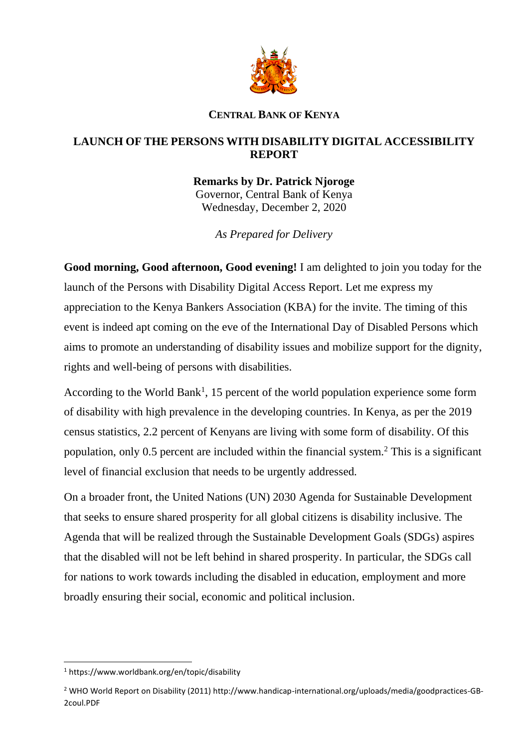

## **CENTRAL BANK OF KENYA**

## **LAUNCH OF THE PERSONS WITH DISABILITY DIGITAL ACCESSIBILITY REPORT**

**Remarks by Dr. Patrick Njoroge** Governor, Central Bank of Kenya Wednesday, December 2, 2020

*As Prepared for Delivery*

**Good morning, Good afternoon, Good evening!** I am delighted to join you today for the launch of the Persons with Disability Digital Access Report. Let me express my appreciation to the Kenya Bankers Association (KBA) for the invite. The timing of this event is indeed apt coming on the eve of the International Day of Disabled Persons which aims to promote an understanding of disability issues and mobilize support for the dignity, rights and well-being of persons with disabilities.

According to the World Bank<sup>1</sup>, 15 percent of the world population experience some form of disability with high prevalence in the developing countries. In Kenya, as per the 2019 census statistics, 2.2 percent of Kenyans are living with some form of disability. Of this population, only 0.5 percent are included within the financial system.<sup>2</sup> This is a significant level of financial exclusion that needs to be urgently addressed.

On a broader front, the United Nations (UN) 2030 Agenda for Sustainable Development that seeks to ensure shared prosperity for all global citizens is disability inclusive. The Agenda that will be realized through the Sustainable Development Goals (SDGs) aspires that the disabled will not be left behind in shared prosperity. In particular, the SDGs call for nations to work towards including the disabled in education, employment and more broadly ensuring their social, economic and political inclusion.

1

<sup>1</sup> https://www.worldbank.org/en/topic/disability

<sup>2</sup> WHO World Report on Disability (2011) http://www.handicap-international.org/uploads/media/goodpractices-GB-2coul.PDF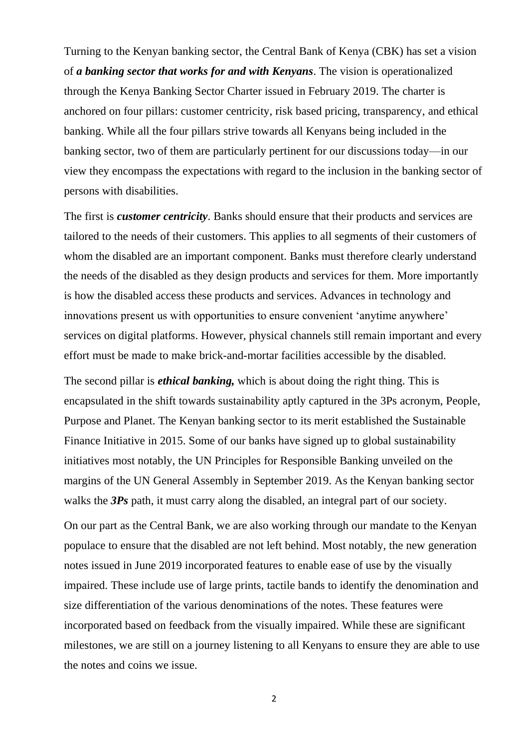Turning to the Kenyan banking sector, the Central Bank of Kenya (CBK) has set a vision of *a banking sector that works for and with Kenyans*. The vision is operationalized through the Kenya Banking Sector Charter issued in February 2019. The charter is anchored on four pillars: customer centricity, risk based pricing, transparency, and ethical banking. While all the four pillars strive towards all Kenyans being included in the banking sector, two of them are particularly pertinent for our discussions today—in our view they encompass the expectations with regard to the inclusion in the banking sector of persons with disabilities.

The first is *customer centricity*. Banks should ensure that their products and services are tailored to the needs of their customers. This applies to all segments of their customers of whom the disabled are an important component. Banks must therefore clearly understand the needs of the disabled as they design products and services for them. More importantly is how the disabled access these products and services. Advances in technology and innovations present us with opportunities to ensure convenient 'anytime anywhere' services on digital platforms. However, physical channels still remain important and every effort must be made to make brick-and-mortar facilities accessible by the disabled.

The second pillar is *ethical banking,* which is about doing the right thing. This is encapsulated in the shift towards sustainability aptly captured in the 3Ps acronym, People, Purpose and Planet. The Kenyan banking sector to its merit established the Sustainable Finance Initiative in 2015. Some of our banks have signed up to global sustainability initiatives most notably, the UN Principles for Responsible Banking unveiled on the margins of the UN General Assembly in September 2019. As the Kenyan banking sector walks the *3Ps* path, it must carry along the disabled, an integral part of our society.

On our part as the Central Bank, we are also working through our mandate to the Kenyan populace to ensure that the disabled are not left behind. Most notably, the new generation notes issued in June 2019 incorporated features to enable ease of use by the visually impaired. These include use of large prints, tactile bands to identify the denomination and size differentiation of the various denominations of the notes. These features were incorporated based on feedback from the visually impaired. While these are significant milestones, we are still on a journey listening to all Kenyans to ensure they are able to use the notes and coins we issue.

2